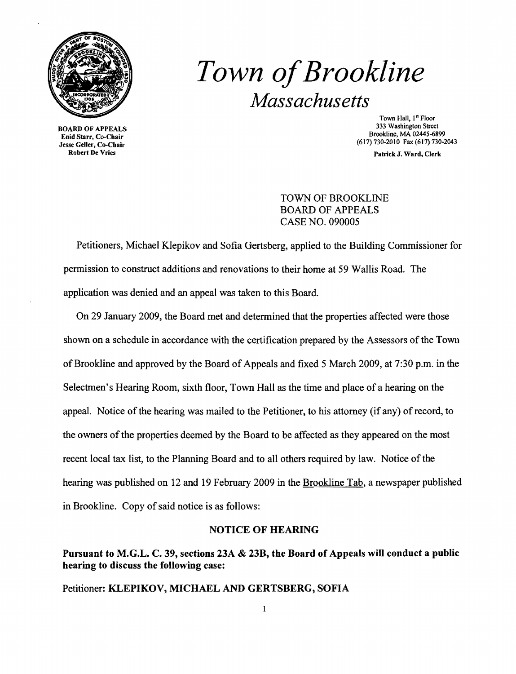

*Town ofBrookline Massachusetts* 

BOARD OF APPEALS Enid Starr, Co-Chair Jesse Geller, Co-Chair Robert De Vries

Town Hall, 1<sup>st</sup> Floor 333 Washington Street Brookline, MA 02445-6899 (617) 730-2010 Fax (617) 730-2043

Patrick J. Ward, Clerk

#### TOWN OF BROOKLINE BOARD OF APPEALS CASE NO. 090005

Petitioners, Michael Klepikov and Sofia Gertsberg, applied to the Building Commissioner for permission to construct additions and renovations to their home at 59 Wallis Road. The application was denied and an appeal was taken to this Board.

On 29 January 2009, the Board met and determined that the properties affected were those shown on a schedule in accordance with the certification prepared by the Assessors of the Town of Brookline and approved by the Board of Appeals and fixed 5 March 2009, at 7:30 p.m. in the Selectmen's Hearing Room, sixth floor, Town Hall as the time and place of a hearing on the appeal. Notice of the hearing was mailed to the Petitioner, to his attorney (if any) of record, to the owners of the properties deemed by the Board to be affected as they appeared on the most recent local tax list, to the Planning Board and to all others required by law. Notice of the hearing was published on 12 and 19 February 2009 in the Brookline Tab, a newspaper published in Brookline. Copy of said notice is as follows:

#### NOTICE OF HEARING

### Pursuant to M.G.L. C. 39, sections 23A & 23B, the Board of Appeals will conduct a public hearing to discuss the following case:

Petitioner: KLEPIKOV, MICHAEL AND GERTSBERG, SOFIA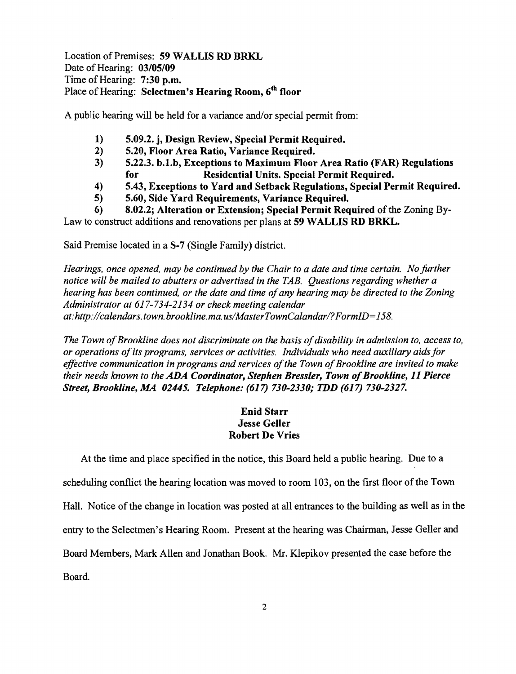Location of Premises: 59 WALLIS RD BRKL Date of Hearing: 03/05/09 Time of Hearing: 7:30 p.m. Place of Hearing: Selectmen's Hearing Room, 6<sup>th</sup> floor

A public hearing will be held for a variance and/or special permit from:

- 1) 5.09.2. j, Design Review, Special Permit Required.
- 2) 5.20, Floor Area Ratio, Variance Required.
- 3) 5.22.3. b.1.b, Exceptions to Maximum Floor Area Ratio (FAR) Regulations for Residential Units. Special Permit Required.
- 4) 5.43, Exceptions to Yard and Setback Regulations, Special Permit Required.
- 5) 5.60, Side Yard Requirements, Variance Required.

6) 8.02.2; Alteration or Extension; Special Permit Required of the Zoning By-Law to construct additions and renovations per plans at 59 WALLIS RD BRKL.

Said Premise located in a S-7 (Single Family) district.

*Hearings, once opened, may be continued by the Chair to a date and time certain. No further notice will be mailed to abutters or advertised in the TAB. Questions regarding whether a hearing has been continued, or the date and time ofany hearing may be directed to the Zoning Administrator at* 617-734-2134 *or check meeting calendar at:http://calendars.town.brookline.ma.usIMasterTownCalandarl? FormID= 158.* 

*The Town of Brookline does not discriminate on the basis of disability in admission to, access to, or operations ofits programs, services or activities. Individuals who need auxiliary aids for*  effective communication in programs and services of the Town of Brookline are invited to make *their needs known to the ADA Coordinator, Stephen Bressler, Town of Brookline, 11 Pierce Street, Brookline, MA 02445. Telephone:* (617) *730-2330; TDD* (617) *730-2327.* 

#### Enid Starr Jesse Geller Robert De Vries

At the time and place specified in the notice, this Board held a public hearing. Due to a scheduling conflict the hearing location was moved to room 103, on the first floor of the Town Hall. Notice of the change in location was posted at all entrances to the building as well as in the entry to the Selectmen's Hearing Room. Present at the hearing was Chairman, Jesse Geller and Board Members, Mark Allen and Jonathan Book. Mr. Klepikov presented the case before the Board.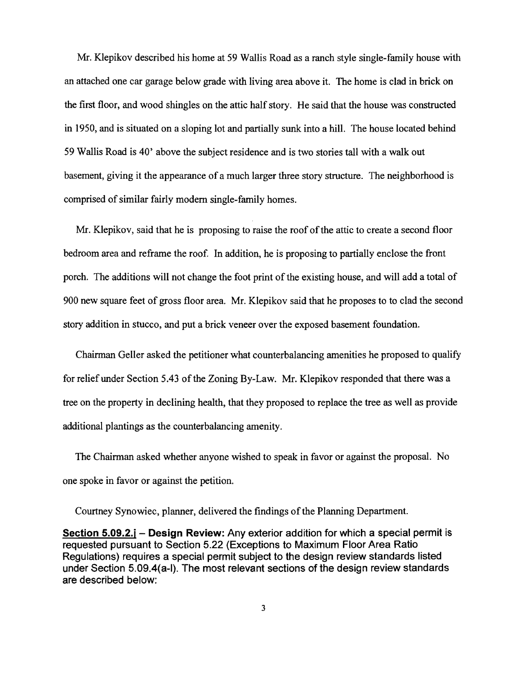Mr. Klepikov described his home at 59 Wallis Road as a ranch style single-family house with an attached one car garage below grade with living area above it. The home is clad in brick on the first floor, and wood shingles on the attic half story. He said that the house was constructed in 1950, and is situated on a sloping lot and partially sunk into a hill. The house located behind 59 Wallis Road is 40' above the subject residence and is two stories tall with a walk out basement, giving it the appearance of a much larger three story structure. The neighborhood is comprised of similar fairly modem single-family homes.

Mr. Klepikov, said that he is proposing to raise the roof of the attic to create a second floor bedroom area and reframe the roof. In addition, he is proposing to partially enclose the front porch. The additions will not change the foot print of the existing house, and will add a total of 900 new square feet of gross floor area. Mr. Klepikov said that he proposes to to clad the second story addition in stucco, and put a brick veneer over the exposed basement foundation.

Chairman Geller asked the petitioner what counterbalancing amenities he proposed to qualify for relief under Section 5.43 of the Zoning By-Law. Mr. Klepikov responded that there was a tree on the property in declining health, that they proposed to replace the tree as well as provide additional plantings as the counterbalancing amenity.

The Chairman asked whether anyone wished to speak in favor or against the proposal. No one spoke in favor or against the petition.

Courtney Synowiec, planner, delivered the findings of the Planning Department.

Section 5.09.2.j - Design Review: Any exterior addition for which a special permit is requested pursuant to Section 5.22 (Exceptions to Maximum Floor Area Ratio Regulations) requires a special permit subject to the design review standards listed under Section 5.09.4(a-I). The most relevant sections of the design review standards are described below: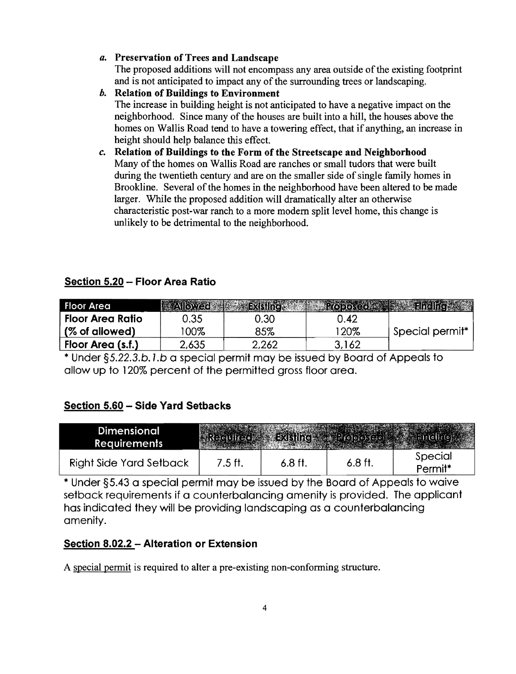#### *a.*  Preservation ofTrees and Landscape

The proposed additions will not encompass any area outside of the existing footprint and is not anticipated to impact any of the surrounding trees or landscaping.

- *b.* Relation of Buildings to Environment The increase in building height is not anticipated to have a negative impact on the neighborhood. Since many of the houses are built into a hill, the houses above the homes on Wallis Road tend to have a towering effect, that if anything, an increase in height should help balance this effect.
- *c.* Relation of Buildings to the Form of the Streetscape and Neighborhood Many of the homes on Wallis Road are ranches or small tudors that were built during the twentieth century and are on the smaller side of single family homes in Brookline. Several of the homes in the neighborhood have been altered to be made larger. While the proposed addition will dramatically alter an otherwise characteristic post-war ranch to a more modem split level home, this change is unlikely to be detrimental to the neighborhood.

## Section 5.20 - Floor Area Ratio

| <b>Floor Area</b>  |       |       |       |                 |
|--------------------|-------|-------|-------|-----------------|
| . Floor Area Ratio | 0.35  | 3.30  | 0.42  |                 |
| (% of allowed)     | 100%  | 85%   | 120%  | Special permit* |
| Floor Area (s.f.)  | 2,635 | 2,262 | 3.162 |                 |

\* Under §S.22.3.b. l.b a special permit may be issued by Board of Appeals to allow up to 120% percent of the permitted gross floor area.

# Section 5.60 - Side Yard Setbacks

| Dimensional<br><b>Requirements</b> |         |         |           |                                |
|------------------------------------|---------|---------|-----------|--------------------------------|
| <b>Right Side Yard Setback</b>     | 7.5 ft. | 6.8 ft. | $6.8$ ft. | Special<br>Permit <sup>*</sup> |

\* Under §5.43 a special permit may be issued by 'the Board of Appeals to waive setback requirements if a counterbalancing amenity is provided. The applicant has indicated they will be providing landscaping as a counterbalancing amenity.

## Section 8.02.2 - Alteration or Extension

A special permit is required to alter a pre-existing non-conforming structure.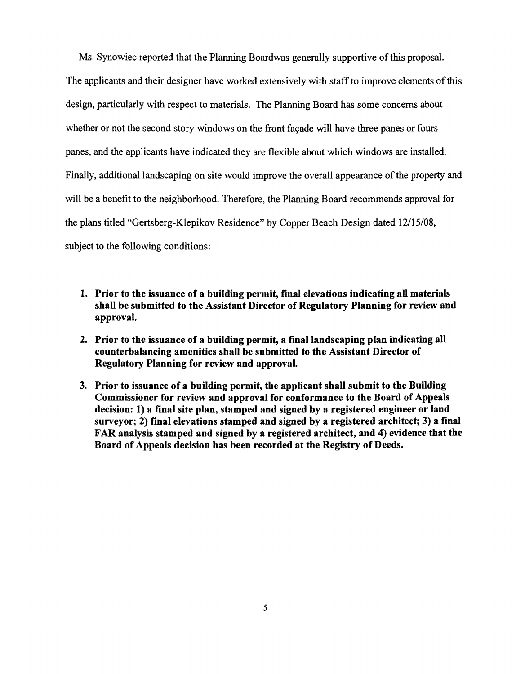Ms. Synowiec reported that the Planning Boardwas generally supportive of this proposal.

The applicants and their designer have worked extensively with staff to improve elements of this design, particularly with respect to materials. The Planning Board has some concerns about whether or not the second story windows on the front façade will have three panes or fours panes, and the applicants have indicated they are flexible about which windows are installed. Finally, additional landscaping on site would improve the overall appearance of the property and will be a benefit to the neighborhood. Therefore, the Planning Board recommends approval for the plans titled "Gertsberg-Klepikov Residence" by Copper Beach Design dated 12/15/08, subject to the following conditions:

- 1. Prior to the issuance of a building permit, final elevations indicating all materials shall be submitted to the Assistant Director of Regulatory Planning for review and approval.
- 2. Prior to the issuance of a building permit, a final landscaping plan indicating all counterbalancing amenities shall be submitted to the Assistant Director of Regulatory Planning for review and approval.
- 3. Prior to issuance of a building permit, the applicant shall submit to the Building Commissioner for review and approval for conformance to the Board of Appeals decision: 1) a final site plan, stamped and signed by a registered engineer or land surveyor; 2) final elevations stamped and signed by a registered architect; 3) a final FAR analysis stamped and signed by a registered architect, and 4) evidence that the Board of Appeals decision has been recorded at the Registry of Deeds.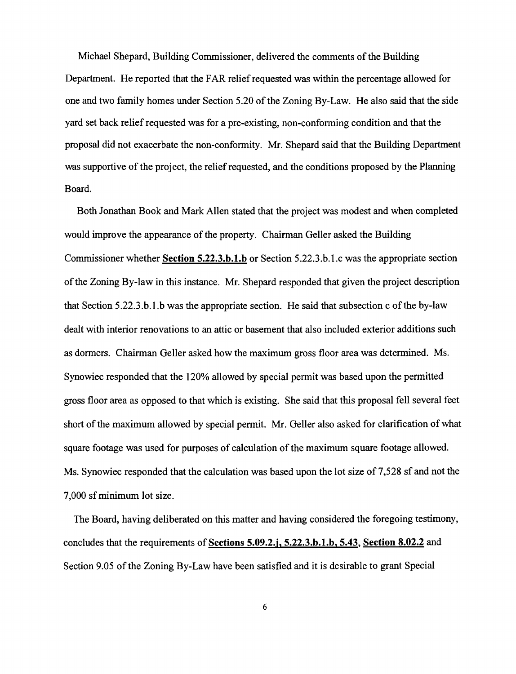Michael Shepard, Building Commissioner, delivered the comments of the Building Department. He reported that the FAR relief requested was within the percentage allowed for one and two family homes under Section 5.20 of the Zoning By-Law. He also said that the side yard set back relief requested was for a pre-existing, non-conforming condition and that the proposal did not exacerbate the non-conformity. Mr. Shepard said that the Building Department was supportive of the project, the relief requested, and the conditions proposed by the Planning Board.

Both Jonathan Book and Mark Allen stated that the project was modest and when completed would improve the appearance of the property. Chairman Geller asked the Building Commissioner whether **Section 5.22.3.h.1.h** or Section 5.22.3.b.l.c was the appropriate section of the Zoning By-law in this instance. Mr. Shepard responded that given the project description that Section 5.22.3.b.1.b was the appropriate section. He said that subsection c of the by-law dealt with interior renovations to an attic or basement that also included exterior additions such as dormers. Chairman Geller asked how the maximum gross floor area was determined. Ms. Synowiec responded that the 120% allowed by special permit was based upon the permitted gross floor area as opposed to that which is existing. She said that this proposal fell several feet short of the maximum allowed by special permit. Mr. Geller also asked for clarification of what square footage was used for purposes of calculation of the maximum square footage allowed. Ms. Synowiec responded that the calculation was based upon the lot size of 7,528 sf and not the 7,000 sfminimum lot size.

The Board, having deliberated on this matter and having considered the foregoing testimony, concludes that the requirements of **Sections 5.09.2.j. 5.22.3.h.1.h.** 5.43, **Section 8.02.2** and Section 9.05 of the Zoning By-Law have been satisfied and it is desirable to grant Special

6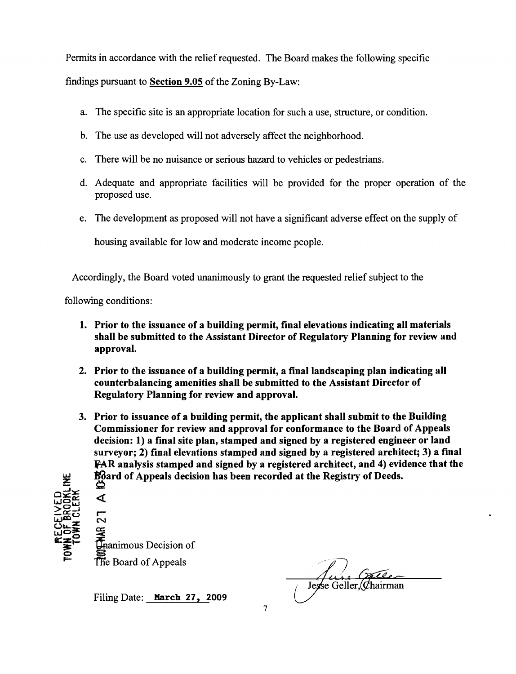Permits in accordance with the relief requested. The Board makes the following specific

findings pursuant to Section 9.05 of the Zoning By-Law:

- a. The specific site is an appropriate location for such a use, structure, or condition.
- b. The use as developed will not adversely affect the neighborhood.
- c. There will be no nuisance or serious hazard to vehicles or pedestrians.
- d. Adequate and appropriate facilities will be provided for the proper operation of the proposed use.
- e. The development as proposed will not have a significant adverse effect on the supply of

housing available for low and moderate income people.

Accordingly, the Board voted unanimously to grant the requested relief subject to the

following conditions:

- 1. Prior to the issuance of a building permit, final elevations indicating all materials shall be submitted to the Assistant Director of Regulatory Planning for review and approval.
- 2. Prior to the issuance of a building permit, a final landscaping plan indicating all counterbalancing amenities shall be submitted to the Assistant Director of Regulatory Planning for review and approval.
- 3. Prior to issuance of a building permit, the applicant shall submit to the Building Commissioner for review and approval for conformance to the Board of Appeals decision: 1) a final site plan, stamped and signed by a registered engineer or land surveyor; 2) final elevations stamped and signed by a registered architect; 3) a final FAR analysis stamped and signed by a registered architect, and 4) evidence that the Ndard of Appeals decision has been recorded at the Registry of Deeds. <sup>~</sup>

«

r-N  $\Xi^-$ Hanimous Decision of The Board of Appeals

Filing Date: March 27, 2009

Jesse Geller, Chairman

7